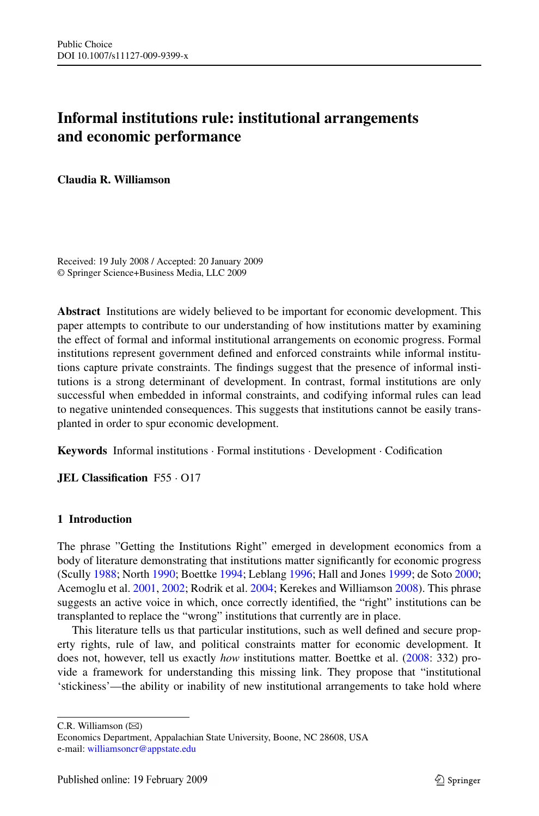# **Informal institutions rule: institutional arrangements and economic performance**

**Claudia R. Williamson**

Received: 19 July 2008 / Accepted: 20 January 2009 © Springer Science+Business Media, LLC 2009

**Abstract** Institutions are widely believed to be important for economic development. This paper attempts to contribute to our understanding of how institutions matter by examining the effect of formal and informal institutional arrangements on economic progress. Formal institutions represent government defined and enforced constraints while informal institutions capture private constraints. The findings suggest that the presence of informal institutions is a strong determinant of development. In contrast, formal institutions are only successful when embedded in informal constraints, and codifying informal rules can lead to negative unintended consequences. This suggests that institutions cannot be easily transplanted in order to spur economic development.

**Keywords** Informal institutions · Formal institutions · Development · Codification

**JEL Classification** F55 · O17

## **1 Introduction**

The phrase "Getting the Institutions Right" emerged in development economics from a body of literature demonstrating that institutions matter significantly for economic progress (Scully [1988](#page-16-0); North [1990](#page-16-0); Boettke [1994](#page-15-0); Leblang [1996;](#page-16-0) Hall and Jones [1999;](#page-15-0) de Soto [2000;](#page-15-0) Acemoglu et al. [2001,](#page-15-0) [2002;](#page-15-0) Rodrik et al. [2004](#page-16-0); Kerekes and Williamson [2008](#page-16-0)). This phrase suggests an active voice in which, once correctly identified, the "right" institutions can be transplanted to replace the "wrong" institutions that currently are in place.

This literature tells us that particular institutions, such as well defined and secure property rights, rule of law, and political constraints matter for economic development. It does not, however, tell us exactly *how* institutions matter. Boettke et al. [\(2008](#page-15-0): 332) provide a framework for understanding this missing link. They propose that "institutional 'stickiness'—the ability or inability of new institutional arrangements to take hold where

 $C.R.$  Williamson  $(\boxtimes)$ 

Economics Department, Appalachian State University, Boone, NC 28608, USA e-mail: [williamsoncr@appstate.edu](mailto:williamsoncr@appstate.edu)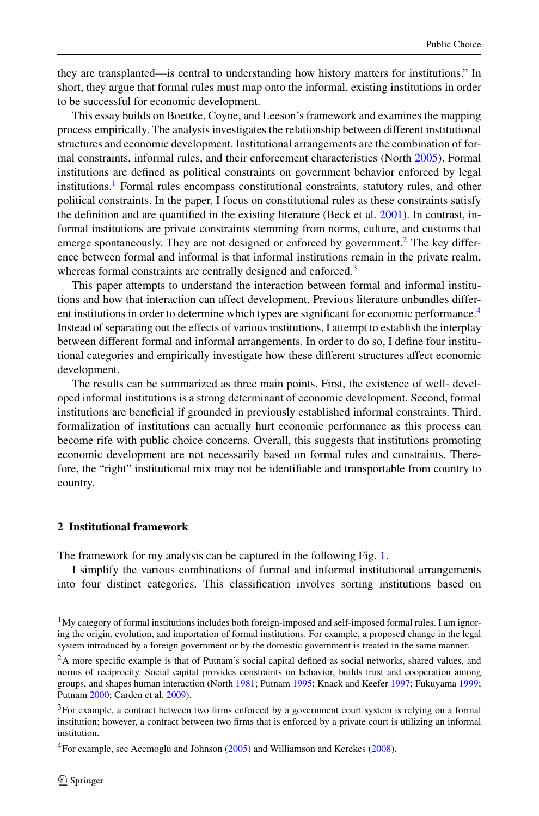they are transplanted—is central to understanding how history matters for institutions." In short, they argue that formal rules must map onto the informal, existing institutions in order to be successful for economic development.

This essay builds on Boettke, Coyne, and Leeson's framework and examines the mapping process empirically. The analysis investigates the relationship between different institutional structures and economic development. Institutional arrangements are the combination of formal constraints, informal rules, and their enforcement characteristics (North [2005](#page-16-0)). Formal institutions are defined as political constraints on government behavior enforced by legal institutions.<sup>1</sup> Formal rules encompass constitutional constraints, statutory rules, and other political constraints. In the paper, I focus on constitutional rules as these constraints satisfy the definition and are quantified in the existing literature (Beck et al. [2001\)](#page-15-0). In contrast, informal institutions are private constraints stemming from norms, culture, and customs that emerge spontaneously. They are not designed or enforced by government.<sup>2</sup> The key difference between formal and informal is that informal institutions remain in the private realm, whereas formal constraints are centrally designed and enforced.<sup>3</sup>

This paper attempts to understand the interaction between formal and informal institutions and how that interaction can affect development. Previous literature unbundles different institutions in order to determine which types are significant for economic performance.<sup>4</sup> Instead of separating out the effects of various institutions, I attempt to establish the interplay between different formal and informal arrangements. In order to do so, I define four institutional categories and empirically investigate how these different structures affect economic development.

The results can be summarized as three main points. First, the existence of well- developed informal institutions is a strong determinant of economic development. Second, formal institutions are beneficial if grounded in previously established informal constraints. Third, formalization of institutions can actually hurt economic performance as this process can become rife with public choice concerns. Overall, this suggests that institutions promoting economic development are not necessarily based on formal rules and constraints. Therefore, the "right" institutional mix may not be identifiable and transportable from country to country.

### **2 Institutional framework**

The framework for my analysis can be captured in the following Fig. [1.](#page-2-0)

I simplify the various combinations of formal and informal institutional arrangements into four distinct categories. This classification involves sorting institutions based on

<sup>&</sup>lt;sup>1</sup>My category of formal institutions includes both foreign-imposed and self-imposed formal rules. I am ignoring the origin, evolution, and importation of formal institutions. For example, a proposed change in the legal system introduced by a foreign government or by the domestic government is treated in the same manner.

<sup>&</sup>lt;sup>2</sup>A more specific example is that of Putnam's social capital defined as social networks, shared values, and norms of reciprocity. Social capital provides constraints on behavior, builds trust and cooperation among groups, and shapes human interaction (North [1981](#page-16-0); Putnam [1995;](#page-16-0) Knack and Keefer [1997;](#page-16-0) Fukuyama [1999](#page-15-0); Putnam [2000](#page-16-0); Carden et al. [2009\)](#page-15-0).

<sup>&</sup>lt;sup>3</sup>For example, a contract between two firms enforced by a government court system is relying on a formal institution; however, a contract between two firms that is enforced by a private court is utilizing an informal institution.

<sup>&</sup>lt;sup>4</sup>For example, see Acemoglu and Johnson [\(2005](#page-15-0)) and Williamson and Kerekes [\(2008](#page-16-0)).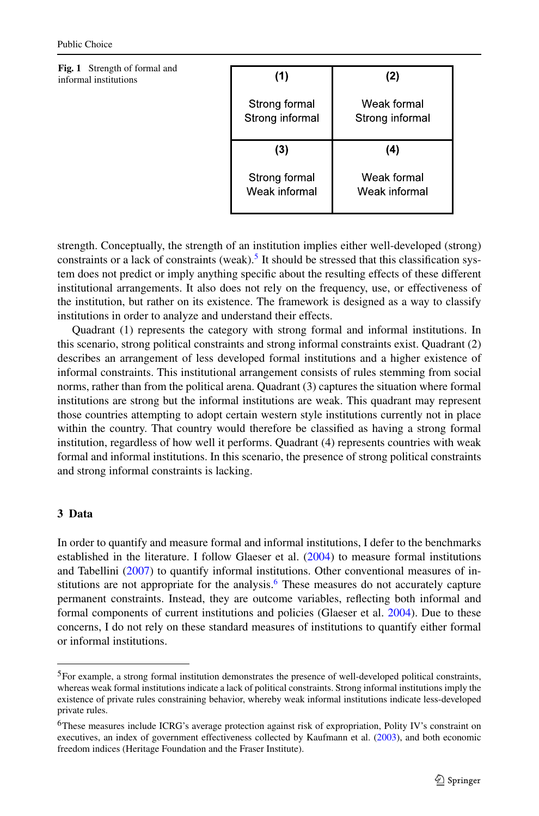<span id="page-2-0"></span>

| Fig. 1 Strength of formal and |  |
|-------------------------------|--|
| informal institutions         |  |

| (1)                              | (2)                            |
|----------------------------------|--------------------------------|
| Strong formal<br>Strong informal | Weak formal<br>Strong informal |
| (3)                              | (4)                            |
| Strong formal<br>Weak informal   | Weak formal<br>Weak informal   |

strength. Conceptually, the strength of an institution implies either well-developed (strong) constraints or a lack of constraints (weak).<sup>5</sup> It should be stressed that this classification system does not predict or imply anything specific about the resulting effects of these different institutional arrangements. It also does not rely on the frequency, use, or effectiveness of the institution, but rather on its existence. The framework is designed as a way to classify institutions in order to analyze and understand their effects.

Quadrant (1) represents the category with strong formal and informal institutions. In this scenario, strong political constraints and strong informal constraints exist. Quadrant (2) describes an arrangement of less developed formal institutions and a higher existence of informal constraints. This institutional arrangement consists of rules stemming from social norms, rather than from the political arena. Quadrant (3) captures the situation where formal institutions are strong but the informal institutions are weak. This quadrant may represent those countries attempting to adopt certain western style institutions currently not in place within the country. That country would therefore be classified as having a strong formal institution, regardless of how well it performs. Quadrant (4) represents countries with weak formal and informal institutions. In this scenario, the presence of strong political constraints and strong informal constraints is lacking.

## **3 Data**

In order to quantify and measure formal and informal institutions, I defer to the benchmarks established in the literature. I follow Glaeser et al.  $(2004)$  $(2004)$  to measure formal institutions and Tabellini [\(2007](#page-16-0)) to quantify informal institutions. Other conventional measures of institutions are not appropriate for the analysis.<sup>6</sup> These measures do not accurately capture permanent constraints. Instead, they are outcome variables, reflecting both informal and formal components of current institutions and policies (Glaeser et al. [2004](#page-15-0)). Due to these concerns, I do not rely on these standard measures of institutions to quantify either formal or informal institutions.

<sup>5</sup>For example, a strong formal institution demonstrates the presence of well-developed political constraints, whereas weak formal institutions indicate a lack of political constraints. Strong informal institutions imply the existence of private rules constraining behavior, whereby weak informal institutions indicate less-developed private rules.

<sup>&</sup>lt;sup>6</sup>These measures include ICRG's average protection against risk of expropriation, Polity IV's constraint on executives, an index of government effectiveness collected by Kaufmann et al. ([2003](#page-15-0)), and both economic freedom indices (Heritage Foundation and the Fraser Institute).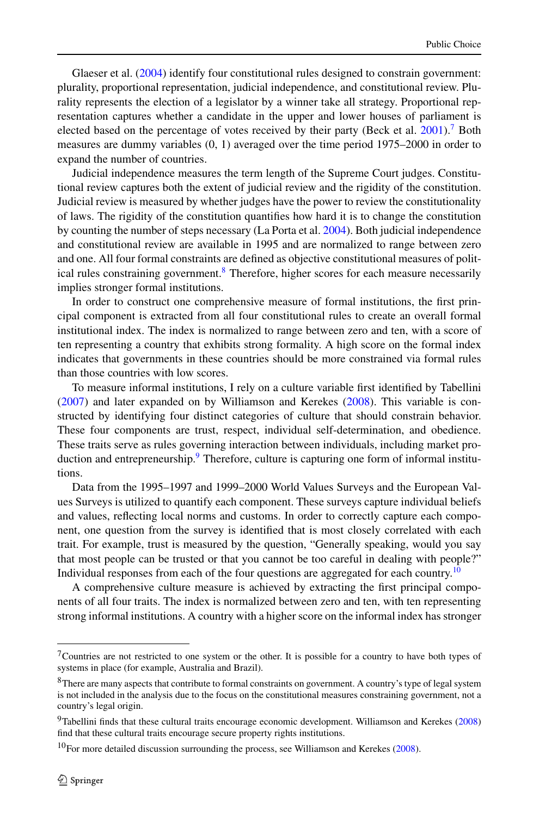Glaeser et al. ([2004\)](#page-15-0) identify four constitutional rules designed to constrain government: plurality, proportional representation, judicial independence, and constitutional review. Plurality represents the election of a legislator by a winner take all strategy. Proportional representation captures whether a candidate in the upper and lower houses of parliament is elected based on the percentage of votes received by their party (Beck et al.  $2001$ ).<sup>7</sup> Both measures are dummy variables (0, 1) averaged over the time period 1975–2000 in order to expand the number of countries.

Judicial independence measures the term length of the Supreme Court judges. Constitutional review captures both the extent of judicial review and the rigidity of the constitution. Judicial review is measured by whether judges have the power to review the constitutionality of laws. The rigidity of the constitution quantifies how hard it is to change the constitution by counting the number of steps necessary (La Porta et al. [2004](#page-16-0)). Both judicial independence and constitutional review are available in 1995 and are normalized to range between zero and one. All four formal constraints are defined as objective constitutional measures of political rules constraining government.<sup>8</sup> Therefore, higher scores for each measure necessarily implies stronger formal institutions.

In order to construct one comprehensive measure of formal institutions, the first principal component is extracted from all four constitutional rules to create an overall formal institutional index. The index is normalized to range between zero and ten, with a score of ten representing a country that exhibits strong formality. A high score on the formal index indicates that governments in these countries should be more constrained via formal rules than those countries with low scores.

To measure informal institutions, I rely on a culture variable first identified by Tabellini ([2007\)](#page-16-0) and later expanded on by Williamson and Kerekes ([2008\)](#page-16-0). This variable is constructed by identifying four distinct categories of culture that should constrain behavior. These four components are trust, respect, individual self-determination, and obedience. These traits serve as rules governing interaction between individuals, including market production and entrepreneurship.<sup>9</sup> Therefore, culture is capturing one form of informal institutions.

Data from the 1995–1997 and 1999–2000 World Values Surveys and the European Values Surveys is utilized to quantify each component. These surveys capture individual beliefs and values, reflecting local norms and customs. In order to correctly capture each component, one question from the survey is identified that is most closely correlated with each trait. For example, trust is measured by the question, "Generally speaking, would you say that most people can be trusted or that you cannot be too careful in dealing with people?" Individual responses from each of the four questions are aggregated for each country.<sup>10</sup>

A comprehensive culture measure is achieved by extracting the first principal components of all four traits. The index is normalized between zero and ten, with ten representing strong informal institutions. A country with a higher score on the informal index has stronger

 $7$ Countries are not restricted to one system or the other. It is possible for a country to have both types of systems in place (for example, Australia and Brazil).

<sup>&</sup>lt;sup>8</sup>There are many aspects that contribute to formal constraints on government. A country's type of legal system is not included in the analysis due to the focus on the constitutional measures constraining government, not a country's legal origin.

<sup>&</sup>lt;sup>9</sup>Tabellini finds that these cultural traits encourage economic development. Williamson and Kerekes ([2008\)](#page-16-0) find that these cultural traits encourage secure property rights institutions.

<sup>&</sup>lt;sup>10</sup>For more detailed discussion surrounding the process, see Williamson and Kerekes ([2008\)](#page-16-0).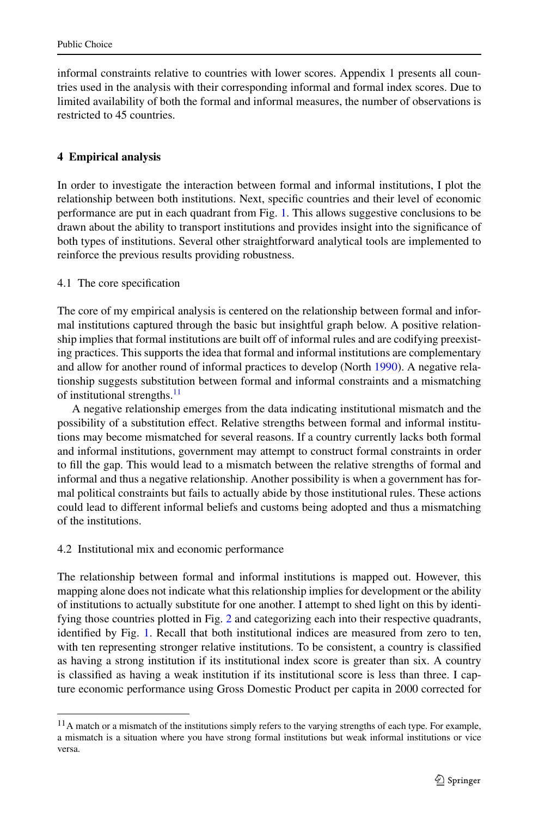informal constraints relative to countries with lower scores. Appendix 1 presents all countries used in the analysis with their corresponding informal and formal index scores. Due to limited availability of both the formal and informal measures, the number of observations is restricted to 45 countries.

## **4 Empirical analysis**

In order to investigate the interaction between formal and informal institutions, I plot the relationship between both institutions. Next, specific countries and their level of economic performance are put in each quadrant from Fig. [1.](#page-2-0) This allows suggestive conclusions to be drawn about the ability to transport institutions and provides insight into the significance of both types of institutions. Several other straightforward analytical tools are implemented to reinforce the previous results providing robustness.

## 4.1 The core specification

The core of my empirical analysis is centered on the relationship between formal and informal institutions captured through the basic but insightful graph below. A positive relationship implies that formal institutions are built off of informal rules and are codifying preexisting practices. This supports the idea that formal and informal institutions are complementary and allow for another round of informal practices to develop (North [1990](#page-16-0)). A negative relationship suggests substitution between formal and informal constraints and a mismatching of institutional strengths.<sup>11</sup>

A negative relationship emerges from the data indicating institutional mismatch and the possibility of a substitution effect. Relative strengths between formal and informal institutions may become mismatched for several reasons. If a country currently lacks both formal and informal institutions, government may attempt to construct formal constraints in order to fill the gap. This would lead to a mismatch between the relative strengths of formal and informal and thus a negative relationship. Another possibility is when a government has formal political constraints but fails to actually abide by those institutional rules. These actions could lead to different informal beliefs and customs being adopted and thus a mismatching of the institutions.

## 4.2 Institutional mix and economic performance

The relationship between formal and informal institutions is mapped out. However, this mapping alone does not indicate what this relationship implies for development or the ability of institutions to actually substitute for one another. I attempt to shed light on this by identi-fying those countries plotted in Fig. [2](#page-5-0) and categorizing each into their respective quadrants, identified by Fig. [1.](#page-2-0) Recall that both institutional indices are measured from zero to ten, with ten representing stronger relative institutions. To be consistent, a country is classified as having a strong institution if its institutional index score is greater than six. A country is classified as having a weak institution if its institutional score is less than three. I capture economic performance using Gross Domestic Product per capita in 2000 corrected for

 $11A$  match or a mismatch of the institutions simply refers to the varying strengths of each type. For example, a mismatch is a situation where you have strong formal institutions but weak informal institutions or vice versa.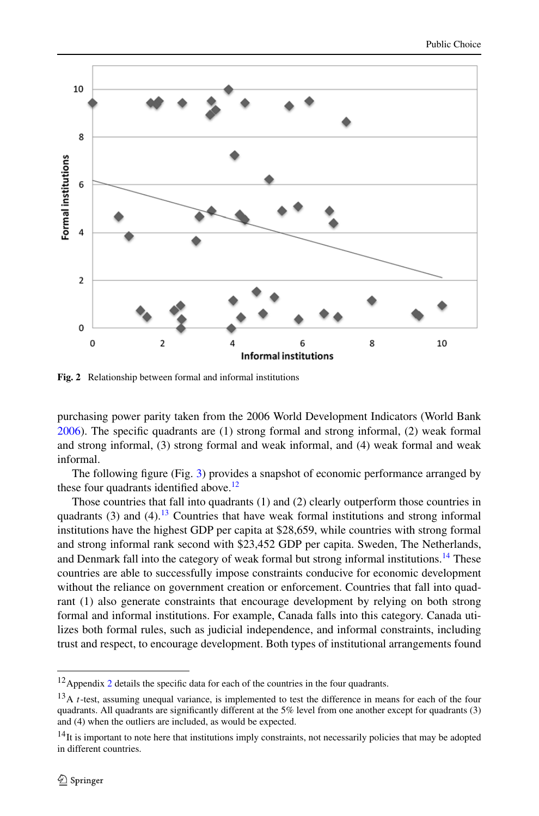<span id="page-5-0"></span>

**Fig. 2** Relationship between formal and informal institutions

purchasing power parity taken from the 2006 World Development Indicators (World Bank [2006\)](#page-16-0). The specific quadrants are (1) strong formal and strong informal, (2) weak formal and strong informal, (3) strong formal and weak informal, and (4) weak formal and weak informal.

The following figure (Fig. [3\)](#page-6-0) provides a snapshot of economic performance arranged by these four quadrants identified above.<sup>12</sup>

Those countries that fall into quadrants (1) and (2) clearly outperform those countries in quadrants (3) and (4).<sup>13</sup> Countries that have weak formal institutions and strong informal institutions have the highest GDP per capita at \$28,659, while countries with strong formal and strong informal rank second with \$23,452 GDP per capita. Sweden, The Netherlands, and Denmark fall into the category of weak formal but strong informal institutions.<sup>14</sup> These countries are able to successfully impose constraints conducive for economic development without the reliance on government creation or enforcement. Countries that fall into quadrant (1) also generate constraints that encourage development by relying on both strong formal and informal institutions. For example, Canada falls into this category. Canada utilizes both formal rules, such as judicial independence, and informal constraints, including trust and respect, to encourage development. Both types of institutional arrangements found

<sup>&</sup>lt;sup>1[2](#page-14-0)</sup> Appendix 2 details the specific data for each of the countries in the four quadrants.

<sup>&</sup>lt;sup>13</sup>A *t*-test, assuming unequal variance, is implemented to test the difference in means for each of the four quadrants. All quadrants are significantly different at the 5% level from one another except for quadrants (3) and (4) when the outliers are included, as would be expected.

 $14$ It is important to note here that institutions imply constraints, not necessarily policies that may be adopted in different countries.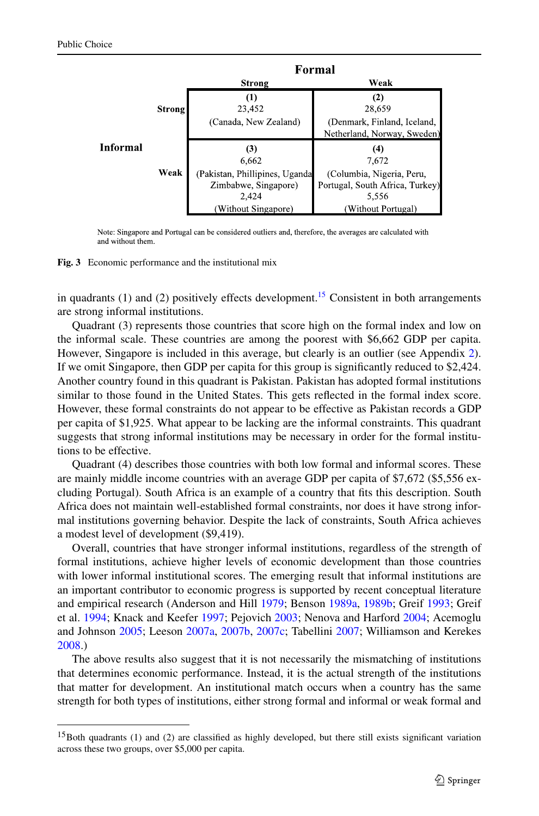<span id="page-6-0"></span>

|                 |        | Formal                         |                                 |  |  |
|-----------------|--------|--------------------------------|---------------------------------|--|--|
|                 |        | Strong                         | Weak                            |  |  |
|                 |        |                                | (2)                             |  |  |
|                 | Strong | 23,452                         | 28,659                          |  |  |
|                 |        | (Canada, New Zealand)          | (Denmark, Finland, Iceland,     |  |  |
|                 |        |                                | Netherland, Norway, Sweden)     |  |  |
| <b>Informal</b> |        | (3)                            | (4)                             |  |  |
|                 |        | 6.662                          | 7.672                           |  |  |
|                 | Weak   | (Pakistan, Phillipines, Uganda | (Columbia, Nigeria, Peru,       |  |  |
|                 |        | Zimbabwe, Singapore)           | Portugal, South Africa, Turkey) |  |  |
|                 |        | 2.424                          | 5.556                           |  |  |
|                 |        | (Without Singapore)            | (Without Portugal)              |  |  |

Note: Singapore and Portugal can be considered outliers and, therefore, the averages are calculated with and without them



in quadrants  $(1)$  and  $(2)$  positively effects development.<sup>15</sup> Consistent in both arrangements are strong informal institutions.

Quadrant (3) represents those countries that score high on the formal index and low on the informal scale. These countries are among the poorest with \$6,662 GDP per capita. However, Singapore is included in this average, but clearly is an outlier (see Appendix [2](#page-14-0)). If we omit Singapore, then GDP per capita for this group is significantly reduced to \$2,424. Another country found in this quadrant is Pakistan. Pakistan has adopted formal institutions similar to those found in the United States. This gets reflected in the formal index score. However, these formal constraints do not appear to be effective as Pakistan records a GDP per capita of \$1,925. What appear to be lacking are the informal constraints. This quadrant suggests that strong informal institutions may be necessary in order for the formal institutions to be effective.

Quadrant (4) describes those countries with both low formal and informal scores. These are mainly middle income countries with an average GDP per capita of \$7,672 (\$5,556 excluding Portugal). South Africa is an example of a country that fits this description. South Africa does not maintain well-established formal constraints, nor does it have strong informal institutions governing behavior. Despite the lack of constraints, South Africa achieves a modest level of development (\$9,419).

Overall, countries that have stronger informal institutions, regardless of the strength of formal institutions, achieve higher levels of economic development than those countries with lower informal institutional scores. The emerging result that informal institutions are an important contributor to economic progress is supported by recent conceptual literature and empirical research (Anderson and Hill [1979;](#page-15-0) Benson [1989a](#page-15-0), [1989b](#page-15-0); Greif [1993](#page-15-0); Greif et al. [1994](#page-15-0); Knack and Keefer [1997](#page-16-0); Pejovich [2003;](#page-16-0) Nenova and Harford [2004;](#page-16-0) Acemoglu and Johnson [2005](#page-15-0); Leeson [2007a](#page-16-0), [2007b,](#page-16-0) [2007c](#page-16-0); Tabellini [2007](#page-16-0); Williamson and Kerekes [2008.](#page-16-0))

The above results also suggest that it is not necessarily the mismatching of institutions that determines economic performance. Instead, it is the actual strength of the institutions that matter for development. An institutional match occurs when a country has the same strength for both types of institutions, either strong formal and informal or weak formal and

<sup>&</sup>lt;sup>15</sup>Both quadrants (1) and (2) are classified as highly developed, but there still exists significant variation across these two groups, over \$5,000 per capita.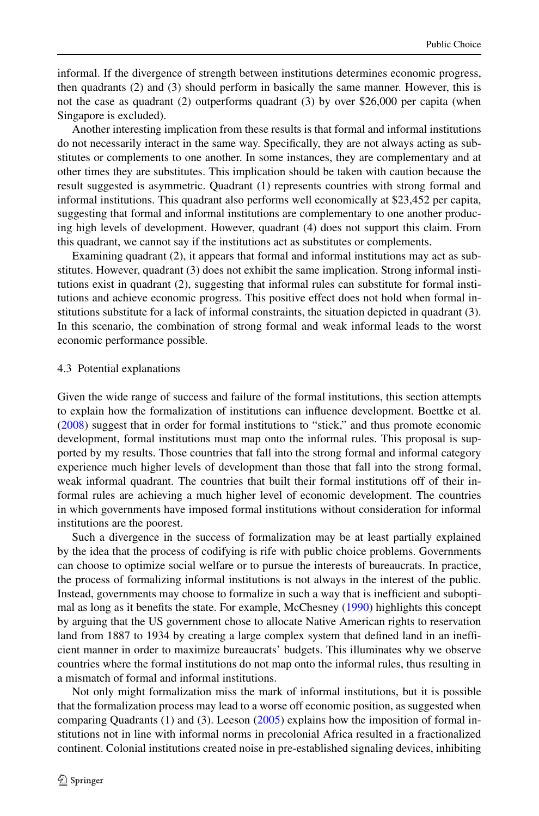informal. If the divergence of strength between institutions determines economic progress, then quadrants (2) and (3) should perform in basically the same manner. However, this is not the case as quadrant (2) outperforms quadrant (3) by over \$26,000 per capita (when Singapore is excluded).

Another interesting implication from these results is that formal and informal institutions do not necessarily interact in the same way. Specifically, they are not always acting as substitutes or complements to one another. In some instances, they are complementary and at other times they are substitutes. This implication should be taken with caution because the result suggested is asymmetric. Quadrant (1) represents countries with strong formal and informal institutions. This quadrant also performs well economically at \$23,452 per capita, suggesting that formal and informal institutions are complementary to one another producing high levels of development. However, quadrant (4) does not support this claim. From this quadrant, we cannot say if the institutions act as substitutes or complements.

Examining quadrant (2), it appears that formal and informal institutions may act as substitutes. However, quadrant (3) does not exhibit the same implication. Strong informal institutions exist in quadrant (2), suggesting that informal rules can substitute for formal institutions and achieve economic progress. This positive effect does not hold when formal institutions substitute for a lack of informal constraints, the situation depicted in quadrant (3). In this scenario, the combination of strong formal and weak informal leads to the worst economic performance possible.

#### 4.3 Potential explanations

Given the wide range of success and failure of the formal institutions, this section attempts to explain how the formalization of institutions can influence development. Boettke et al. ([2008\)](#page-15-0) suggest that in order for formal institutions to "stick," and thus promote economic development, formal institutions must map onto the informal rules. This proposal is supported by my results. Those countries that fall into the strong formal and informal category experience much higher levels of development than those that fall into the strong formal, weak informal quadrant. The countries that built their formal institutions off of their informal rules are achieving a much higher level of economic development. The countries in which governments have imposed formal institutions without consideration for informal institutions are the poorest.

Such a divergence in the success of formalization may be at least partially explained by the idea that the process of codifying is rife with public choice problems. Governments can choose to optimize social welfare or to pursue the interests of bureaucrats. In practice, the process of formalizing informal institutions is not always in the interest of the public. Instead, governments may choose to formalize in such a way that is inefficient and suboptimal as long as it benefits the state. For example, McChesney [\(1990](#page-16-0)) highlights this concept by arguing that the US government chose to allocate Native American rights to reservation land from 1887 to 1934 by creating a large complex system that defined land in an inefficient manner in order to maximize bureaucrats' budgets. This illuminates why we observe countries where the formal institutions do not map onto the informal rules, thus resulting in a mismatch of formal and informal institutions.

Not only might formalization miss the mark of informal institutions, but it is possible that the formalization process may lead to a worse off economic position, as suggested when comparing Quadrants (1) and (3). Leeson ([2005\)](#page-16-0) explains how the imposition of formal institutions not in line with informal norms in precolonial Africa resulted in a fractionalized continent. Colonial institutions created noise in pre-established signaling devices, inhibiting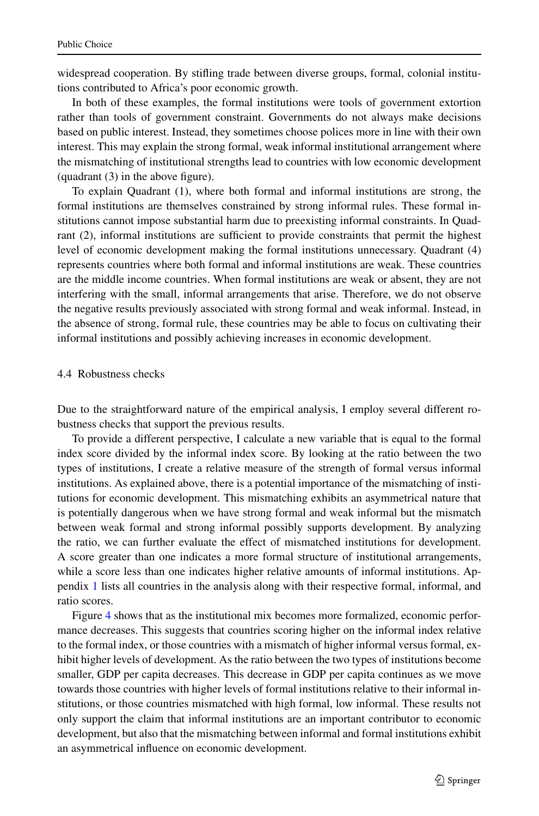widespread cooperation. By stifling trade between diverse groups, formal, colonial institutions contributed to Africa's poor economic growth.

In both of these examples, the formal institutions were tools of government extortion rather than tools of government constraint. Governments do not always make decisions based on public interest. Instead, they sometimes choose polices more in line with their own interest. This may explain the strong formal, weak informal institutional arrangement where the mismatching of institutional strengths lead to countries with low economic development (quadrant (3) in the above figure).

To explain Quadrant (1), where both formal and informal institutions are strong, the formal institutions are themselves constrained by strong informal rules. These formal institutions cannot impose substantial harm due to preexisting informal constraints. In Quadrant (2), informal institutions are sufficient to provide constraints that permit the highest level of economic development making the formal institutions unnecessary. Quadrant (4) represents countries where both formal and informal institutions are weak. These countries are the middle income countries. When formal institutions are weak or absent, they are not interfering with the small, informal arrangements that arise. Therefore, we do not observe the negative results previously associated with strong formal and weak informal. Instead, in the absence of strong, formal rule, these countries may be able to focus on cultivating their informal institutions and possibly achieving increases in economic development.

### 4.4 Robustness checks

Due to the straightforward nature of the empirical analysis, I employ several different robustness checks that support the previous results.

To provide a different perspective, I calculate a new variable that is equal to the formal index score divided by the informal index score. By looking at the ratio between the two types of institutions, I create a relative measure of the strength of formal versus informal institutions. As explained above, there is a potential importance of the mismatching of institutions for economic development. This mismatching exhibits an asymmetrical nature that is potentially dangerous when we have strong formal and weak informal but the mismatch between weak formal and strong informal possibly supports development. By analyzing the ratio, we can further evaluate the effect of mismatched institutions for development. A score greater than one indicates a more formal structure of institutional arrangements, while a score less than one indicates higher relative amounts of informal institutions. Appendix [1](#page-13-0) lists all countries in the analysis along with their respective formal, informal, and ratio scores.

Figure [4](#page-9-0) shows that as the institutional mix becomes more formalized, economic performance decreases. This suggests that countries scoring higher on the informal index relative to the formal index, or those countries with a mismatch of higher informal versus formal, exhibit higher levels of development. As the ratio between the two types of institutions become smaller, GDP per capita decreases. This decrease in GDP per capita continues as we move towards those countries with higher levels of formal institutions relative to their informal institutions, or those countries mismatched with high formal, low informal. These results not only support the claim that informal institutions are an important contributor to economic development, but also that the mismatching between informal and formal institutions exhibit an asymmetrical influence on economic development.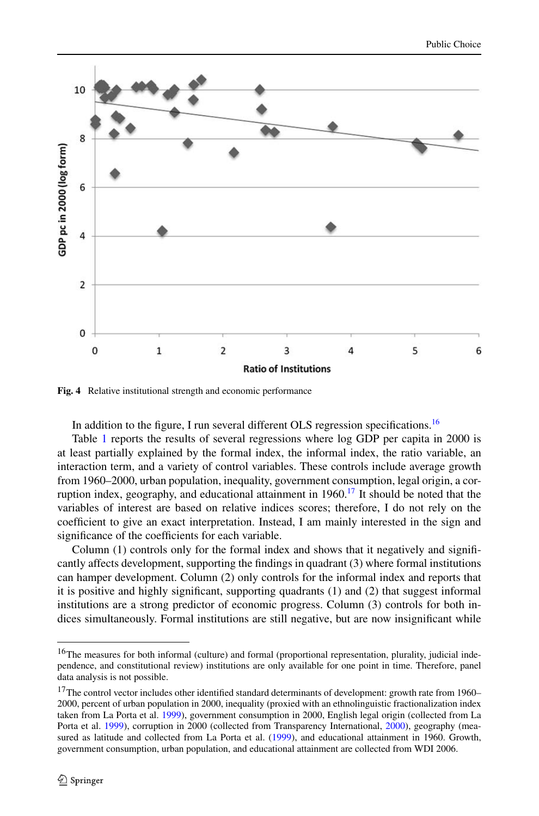<span id="page-9-0"></span>

**Fig. 4** Relative institutional strength and economic performance

In addition to the figure, I run several different OLS regression specifications.<sup>16</sup>

Table [1](#page-10-0) reports the results of several regressions where log GDP per capita in 2000 is at least partially explained by the formal index, the informal index, the ratio variable, an interaction term, and a variety of control variables. These controls include average growth from 1960–2000, urban population, inequality, government consumption, legal origin, a corruption index, geography, and educational attainment in  $1960$ .<sup>17</sup> It should be noted that the variables of interest are based on relative indices scores; therefore, I do not rely on the coefficient to give an exact interpretation. Instead, I am mainly interested in the sign and significance of the coefficients for each variable.

Column (1) controls only for the formal index and shows that it negatively and significantly affects development, supporting the findings in quadrant (3) where formal institutions can hamper development. Column (2) only controls for the informal index and reports that it is positive and highly significant, supporting quadrants (1) and (2) that suggest informal institutions are a strong predictor of economic progress. Column (3) controls for both indices simultaneously. Formal institutions are still negative, but are now insignificant while

<sup>&</sup>lt;sup>16</sup>The measures for both informal (culture) and formal (proportional representation, plurality, judicial independence, and constitutional review) institutions are only available for one point in time. Therefore, panel data analysis is not possible.

<sup>&</sup>lt;sup>17</sup>The control vector includes other identified standard determinants of development: growth rate from 1960– 2000, percent of urban population in 2000, inequality (proxied with an ethnolinguistic fractionalization index taken from La Porta et al. [1999\)](#page-16-0), government consumption in 2000, English legal origin (collected from La Porta et al. [1999\)](#page-16-0), corruption in 2000 (collected from Transparency International, [2000](#page-16-0)), geography (measured as latitude and collected from La Porta et al. ([1999\)](#page-16-0), and educational attainment in 1960. Growth, government consumption, urban population, and educational attainment are collected from WDI 2006.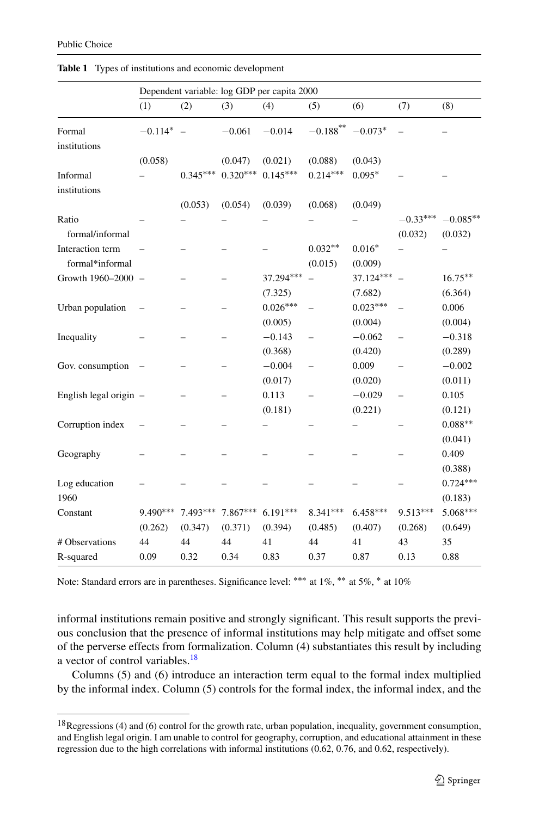|                        | Dependent variable: log GDP per capita 2000 |            |            |            |                        |            |            |            |
|------------------------|---------------------------------------------|------------|------------|------------|------------------------|------------|------------|------------|
|                        | (1)                                         | (2)        | (3)        | (4)        | (5)                    | (6)        | (7)        | (8)        |
| Formal<br>institutions | $-0.114* -$                                 |            | $-0.061$   | $-0.014$   | $-0.188$ <sup>**</sup> | $-0.073*$  |            |            |
|                        | (0.058)                                     |            | (0.047)    | (0.021)    | (0.088)                | (0.043)    |            |            |
| Informal               |                                             | $0.345***$ | $0.320***$ | $0.145***$ | $0.214***$             | $0.095*$   |            |            |
| institutions           |                                             |            |            |            |                        |            |            |            |
|                        |                                             | (0.053)    | (0.054)    | (0.039)    | (0.068)                | (0.049)    |            |            |
| Ratio                  |                                             |            |            |            |                        |            | $-0.33***$ | $-0.085**$ |
| formal/informal        |                                             |            |            |            |                        |            | (0.032)    | (0.032)    |
| Interaction term       |                                             |            |            |            | $0.032**$              | $0.016*$   |            |            |
| formal*informal        |                                             |            |            |            | (0.015)                | (0.009)    |            |            |
| Growth 1960-2000 -     |                                             |            |            | 37.294***  |                        | 37.124***  |            | $16.75***$ |
|                        |                                             |            |            | (7.325)    |                        | (7.682)    |            | (6.364)    |
| Urban population       |                                             |            |            | $0.026***$ |                        | $0.023***$ |            | 0.006      |
|                        |                                             |            |            | (0.005)    |                        | (0.004)    |            | (0.004)    |
| Inequality             |                                             |            |            | $-0.143$   |                        | $-0.062$   |            | $-0.318$   |
|                        |                                             |            |            | (0.368)    |                        | (0.420)    |            | (0.289)    |
| Gov. consumption       |                                             |            |            | $-0.004$   |                        | 0.009      |            | $-0.002$   |
|                        |                                             |            |            | (0.017)    |                        | (0.020)    |            | (0.011)    |
| English legal origin - |                                             |            |            | 0.113      |                        | $-0.029$   |            | 0.105      |
|                        |                                             |            |            | (0.181)    |                        | (0.221)    |            | (0.121)    |
| Corruption index       |                                             |            |            |            |                        |            |            | $0.088**$  |
|                        |                                             |            |            |            |                        |            |            | (0.041)    |
| Geography              |                                             |            |            |            |                        |            |            | 0.409      |
|                        |                                             |            |            |            |                        |            |            | (0.388)    |
| Log education          |                                             |            |            |            |                        |            |            | $0.724***$ |
| 1960                   |                                             |            |            |            |                        |            |            | (0.183)    |
| Constant               | 9.490***                                    | $7.493***$ | $7.867***$ | $6.191***$ | $8.341***$             | $6.458***$ | $9.513***$ | 5.068***   |
|                        | (0.262)                                     | (0.347)    | (0.371)    | (0.394)    | (0.485)                | (0.407)    | (0.268)    | (0.649)    |
| # Observations         | 44                                          | 44         | 44         | 41         | 44                     | 41         | 43         | 35         |
| R-squared              | 0.09                                        | 0.32       | 0.34       | 0.83       | 0.37                   | 0.87       | 0.13       | 0.88       |

<span id="page-10-0"></span>**Table 1** Types of institutions and economic development

Note: Standard errors are in parentheses. Significance level: \*\*\* at 1%, \*\* at 5%, \* at 10%

informal institutions remain positive and strongly significant. This result supports the previous conclusion that the presence of informal institutions may help mitigate and offset some of the perverse effects from formalization. Column (4) substantiates this result by including a vector of control variables.<sup>18</sup>

Columns (5) and (6) introduce an interaction term equal to the formal index multiplied by the informal index. Column (5) controls for the formal index, the informal index, and the

<sup>&</sup>lt;sup>18</sup>Regressions (4) and (6) control for the growth rate, urban population, inequality, government consumption, and English legal origin. I am unable to control for geography, corruption, and educational attainment in these regression due to the high correlations with informal institutions (0.62, 0.76, and 0.62, respectively).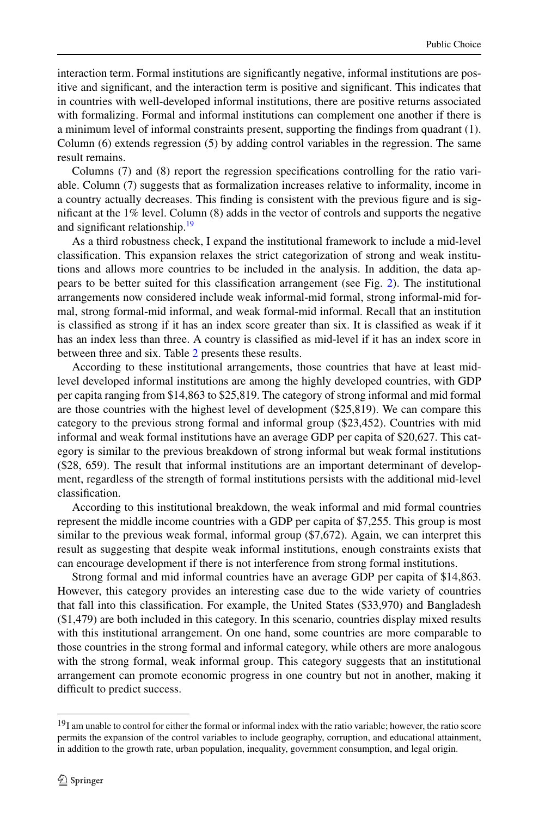interaction term. Formal institutions are significantly negative, informal institutions are positive and significant, and the interaction term is positive and significant. This indicates that in countries with well-developed informal institutions, there are positive returns associated with formalizing. Formal and informal institutions can complement one another if there is a minimum level of informal constraints present, supporting the findings from quadrant (1). Column (6) extends regression (5) by adding control variables in the regression. The same result remains.

Columns (7) and (8) report the regression specifications controlling for the ratio variable. Column (7) suggests that as formalization increases relative to informality, income in a country actually decreases. This finding is consistent with the previous figure and is significant at the  $1\%$  level. Column  $(8)$  adds in the vector of controls and supports the negative and significant relationship.<sup>19</sup>

As a third robustness check, I expand the institutional framework to include a mid-level classification. This expansion relaxes the strict categorization of strong and weak institutions and allows more countries to be included in the analysis. In addition, the data appears to be better suited for this classification arrangement (see Fig. [2](#page-5-0)). The institutional arrangements now considered include weak informal-mid formal, strong informal-mid formal, strong formal-mid informal, and weak formal-mid informal. Recall that an institution is classified as strong if it has an index score greater than six. It is classified as weak if it has an index less than three. A country is classified as mid-level if it has an index score in between three and six. Table [2](#page-12-0) presents these results.

According to these institutional arrangements, those countries that have at least midlevel developed informal institutions are among the highly developed countries, with GDP per capita ranging from \$14,863 to \$25,819. The category of strong informal and mid formal are those countries with the highest level of development (\$25,819). We can compare this category to the previous strong formal and informal group (\$23,452). Countries with mid informal and weak formal institutions have an average GDP per capita of \$20,627. This category is similar to the previous breakdown of strong informal but weak formal institutions (\$28, 659). The result that informal institutions are an important determinant of development, regardless of the strength of formal institutions persists with the additional mid-level classification.

According to this institutional breakdown, the weak informal and mid formal countries represent the middle income countries with a GDP per capita of \$7,255. This group is most similar to the previous weak formal, informal group (\$7,672). Again, we can interpret this result as suggesting that despite weak informal institutions, enough constraints exists that can encourage development if there is not interference from strong formal institutions.

Strong formal and mid informal countries have an average GDP per capita of \$14,863. However, this category provides an interesting case due to the wide variety of countries that fall into this classification. For example, the United States (\$33,970) and Bangladesh (\$1,479) are both included in this category. In this scenario, countries display mixed results with this institutional arrangement. On one hand, some countries are more comparable to those countries in the strong formal and informal category, while others are more analogous with the strong formal, weak informal group. This category suggests that an institutional arrangement can promote economic progress in one country but not in another, making it difficult to predict success.

 $19$ I am unable to control for either the formal or informal index with the ratio variable; however, the ratio score permits the expansion of the control variables to include geography, corruption, and educational attainment, in addition to the growth rate, urban population, inequality, government consumption, and legal origin.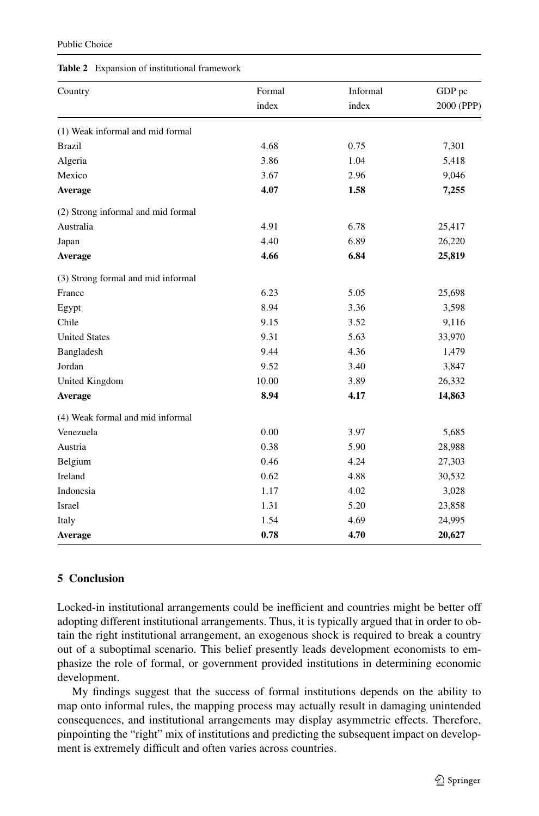#### <span id="page-12-0"></span>Public Choice

#### **Table 2** Expansion of institutional framework

| Country                            | Formal | Informal | GDP pc     |  |
|------------------------------------|--------|----------|------------|--|
|                                    | index  | index    | 2000 (PPP) |  |
| (1) Weak informal and mid formal   |        |          |            |  |
| <b>Brazil</b>                      | 4.68   | 0.75     | 7,301      |  |
| Algeria                            | 3.86   | 1.04     | 5,418      |  |
| Mexico                             | 3.67   | 2.96     | 9,046      |  |
| Average                            | 4.07   | 1.58     | 7,255      |  |
| (2) Strong informal and mid formal |        |          |            |  |
| Australia                          | 4.91   | 6.78     | 25,417     |  |
| Japan                              | 4.40   | 6.89     | 26,220     |  |
| Average                            | 4.66   | 6.84     | 25,819     |  |
| (3) Strong formal and mid informal |        |          |            |  |
| France                             | 6.23   | 5.05     | 25,698     |  |
| Egypt                              | 8.94   | 3.36     | 3,598      |  |
| Chile                              | 9.15   | 3.52     | 9,116      |  |
| <b>United States</b>               | 9.31   | 5.63     | 33,970     |  |
| Bangladesh                         | 9.44   | 4.36     | 1,479      |  |
| Jordan                             | 9.52   | 3.40     | 3,847      |  |
| United Kingdom                     | 10.00  | 3.89     | 26,332     |  |
| Average                            | 8.94   | 4.17     | 14,863     |  |
| (4) Weak formal and mid informal   |        |          |            |  |
| Venezuela                          | 0.00   | 3.97     | 5,685      |  |
| Austria                            | 0.38   | 5.90     | 28,988     |  |
| Belgium                            | 0.46   | 4.24     | 27,303     |  |
| Ireland                            | 0.62   | 4.88     | 30,532     |  |
| Indonesia                          | 1.17   | 4.02     | 3,028      |  |
| Israel                             | 1.31   | 5.20     | 23,858     |  |
| Italy                              | 1.54   | 4.69     | 24,995     |  |
| Average                            | 0.78   | 4.70     | 20,627     |  |

## **5 Conclusion**

Locked-in institutional arrangements could be inefficient and countries might be better off adopting different institutional arrangements. Thus, it is typically argued that in order to obtain the right institutional arrangement, an exogenous shock is required to break a country out of a suboptimal scenario. This belief presently leads development economists to emphasize the role of formal, or government provided institutions in determining economic development.

My findings suggest that the success of formal institutions depends on the ability to map onto informal rules, the mapping process may actually result in damaging unintended consequences, and institutional arrangements may display asymmetric effects. Therefore, pinpointing the "right" mix of institutions and predicting the subsequent impact on development is extremely difficult and often varies across countries.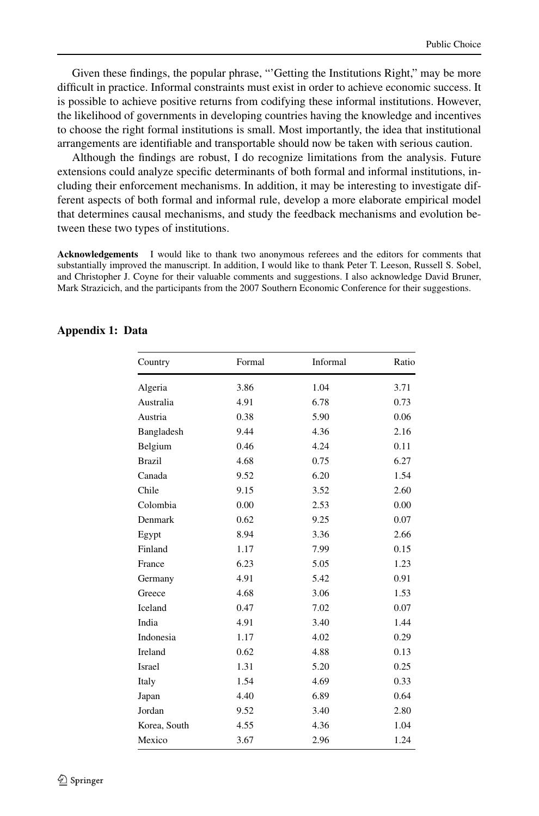<span id="page-13-0"></span>Given these findings, the popular phrase, "'Getting the Institutions Right," may be more difficult in practice. Informal constraints must exist in order to achieve economic success. It is possible to achieve positive returns from codifying these informal institutions. However, the likelihood of governments in developing countries having the knowledge and incentives to choose the right formal institutions is small. Most importantly, the idea that institutional arrangements are identifiable and transportable should now be taken with serious caution.

Although the findings are robust, I do recognize limitations from the analysis. Future extensions could analyze specific determinants of both formal and informal institutions, including their enforcement mechanisms. In addition, it may be interesting to investigate different aspects of both formal and informal rule, develop a more elaborate empirical model that determines causal mechanisms, and study the feedback mechanisms and evolution between these two types of institutions.

**Acknowledgements** I would like to thank two anonymous referees and the editors for comments that substantially improved the manuscript. In addition, I would like to thank Peter T. Leeson, Russell S. Sobel, and Christopher J. Coyne for their valuable comments and suggestions. I also acknowledge David Bruner, Mark Strazicich, and the participants from the 2007 Southern Economic Conference for their suggestions.

| Country       | Formal | Informal | Ratio |
|---------------|--------|----------|-------|
| Algeria       | 3.86   | 1.04     | 3.71  |
| Australia     | 4.91   | 6.78     | 0.73  |
| Austria       | 0.38   | 5.90     | 0.06  |
| Bangladesh    | 9.44   | 4.36     | 2.16  |
| Belgium       | 0.46   | 4.24     | 0.11  |
| <b>Brazil</b> | 4.68   | 0.75     | 6.27  |
| Canada        | 9.52   | 6.20     | 1.54  |
| Chile         | 9.15   | 3.52     | 2.60  |
| Colombia      | 0.00   | 2.53     | 0.00  |
| Denmark       | 0.62   | 9.25     | 0.07  |
| Egypt         | 8.94   | 3.36     | 2.66  |
| Finland       | 1.17   | 7.99     | 0.15  |
| France        | 6.23   | 5.05     | 1.23  |
| Germany       | 4.91   | 5.42     | 0.91  |
| Greece        | 4.68   | 3.06     | 1.53  |
| Iceland       | 0.47   | 7.02     | 0.07  |
| India         | 4.91   | 3.40     | 1.44  |
| Indonesia     | 1.17   | 4.02     | 0.29  |
| Ireland       | 0.62   | 4.88     | 0.13  |
| Israel        | 1.31   | 5.20     | 0.25  |
| Italy         | 1.54   | 4.69     | 0.33  |
| Japan         | 4.40   | 6.89     | 0.64  |
| Jordan        | 9.52   | 3.40     | 2.80  |
| Korea, South  | 4.55   | 4.36     | 1.04  |
| Mexico        | 3.67   | 2.96     | 1.24  |

### **Appendix 1: Data**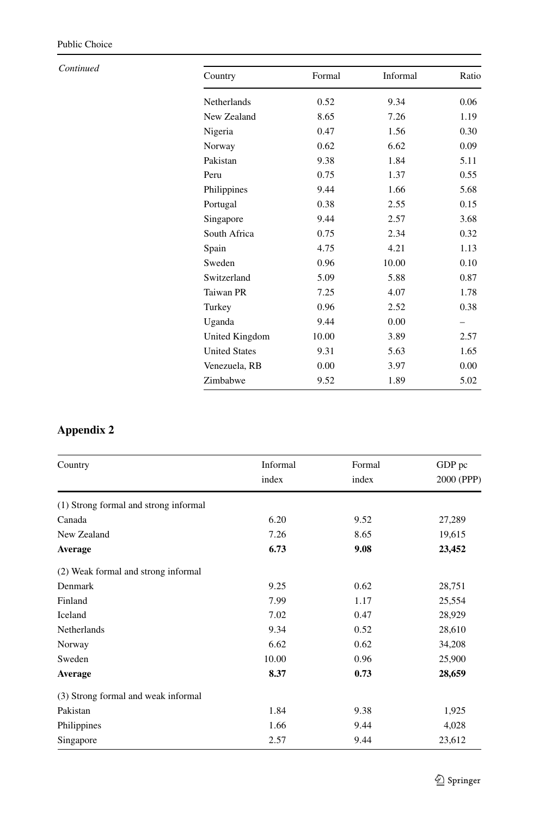## <span id="page-14-0"></span>*Continued*

| Country              | Formal | Informal | Ratio |
|----------------------|--------|----------|-------|
| Netherlands          | 0.52   | 9.34     | 0.06  |
| New Zealand          | 8.65   | 7.26     | 1.19  |
| Nigeria              | 0.47   | 1.56     | 0.30  |
| Norway               | 0.62   | 6.62     | 0.09  |
| Pakistan             | 9.38   | 1.84     | 5.11  |
| Peru                 | 0.75   | 1.37     | 0.55  |
| Philippines          | 9.44   | 1.66     | 5.68  |
| Portugal             | 0.38   | 2.55     | 0.15  |
| Singapore            | 9.44   | 2.57     | 3.68  |
| South Africa         | 0.75   | 2.34     | 0.32  |
| Spain                | 4.75   | 4.21     | 1.13  |
| Sweden               | 0.96   | 10.00    | 0.10  |
| Switzerland          | 5.09   | 5.88     | 0.87  |
| Taiwan PR            | 7.25   | 4.07     | 1.78  |
| Turkey               | 0.96   | 2.52     | 0.38  |
| Uganda               | 9.44   | 0.00     |       |
| United Kingdom       | 10.00  | 3.89     | 2.57  |
| <b>United States</b> | 9.31   | 5.63     | 1.65  |
| Venezuela, RB        | 0.00   | 3.97     | 0.00  |
| Zimbabwe             | 9.52   | 1.89     | 5.02  |

## **Appendix 2**

| Country                               | Informal | Formal | GDP pc     |  |
|---------------------------------------|----------|--------|------------|--|
|                                       | index    | index  | 2000 (PPP) |  |
| (1) Strong formal and strong informal |          |        |            |  |
| Canada                                | 6.20     | 9.52   | 27,289     |  |
| New Zealand                           | 7.26     | 8.65   | 19,615     |  |
| Average                               | 6.73     | 9.08   | 23,452     |  |
| (2) Weak formal and strong informal   |          |        |            |  |
| Denmark                               | 9.25     | 0.62   | 28,751     |  |
| Finland                               | 7.99     | 1.17   | 25,554     |  |
| Iceland                               | 7.02     | 0.47   | 28,929     |  |
| Netherlands                           | 9.34     | 0.52   | 28,610     |  |
| Norway                                | 6.62     | 0.62   | 34,208     |  |
| Sweden                                | 10.00    | 0.96   | 25,900     |  |
| Average                               | 8.37     | 0.73   | 28,659     |  |
| (3) Strong formal and weak informal   |          |        |            |  |
| Pakistan                              | 1.84     | 9.38   | 1,925      |  |
| Philippines                           | 1.66     | 9.44   | 4,028      |  |
| Singapore                             | 2.57     | 9.44   | 23,612     |  |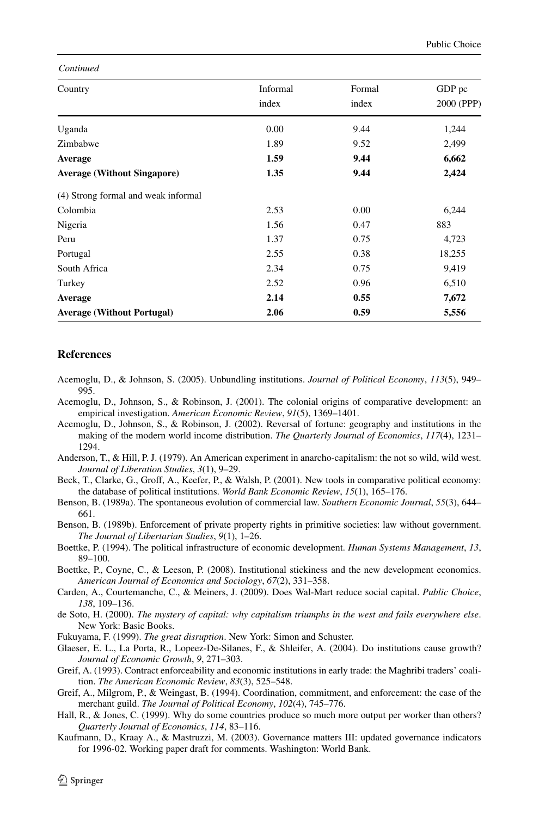| Country                             | Informal | Formal | GDP pc     |
|-------------------------------------|----------|--------|------------|
|                                     | index    | index  | 2000 (PPP) |
| Uganda                              | 0.00     | 9.44   | 1,244      |
| Zimbabwe                            | 1.89     | 9.52   | 2,499      |
| Average                             | 1.59     | 9.44   | 6,662      |
| <b>Average (Without Singapore)</b>  | 1.35     | 9.44   | 2,424      |
| (4) Strong formal and weak informal |          |        |            |
| Colombia                            | 2.53     | 0.00   | 6,244      |
| Nigeria                             | 1.56     | 0.47   | 883        |
| Peru                                | 1.37     | 0.75   | 4,723      |
| Portugal                            | 2.55     | 0.38   | 18,255     |
| South Africa                        | 2.34     | 0.75   | 9,419      |
| Turkey                              | 2.52     | 0.96   | 6,510      |
| Average                             | 2.14     | 0.55   | 7,672      |
| <b>Average (Without Portugal)</b>   | 2.06     | 0.59   | 5,556      |

#### <span id="page-15-0"></span>*Continued*

## **References**

- Acemoglu, D., & Johnson, S. (2005). Unbundling institutions. *Journal of Political Economy*, *113*(5), 949– 995.
- Acemoglu, D., Johnson, S., & Robinson, J. (2001). The colonial origins of comparative development: an empirical investigation. *American Economic Review*, *91*(5), 1369–1401.
- Acemoglu, D., Johnson, S., & Robinson, J. (2002). Reversal of fortune: geography and institutions in the making of the modern world income distribution. *The Quarterly Journal of Economics*, *117*(4), 1231– 1294.
- Anderson, T., & Hill, P. J. (1979). An American experiment in anarcho-capitalism: the not so wild, wild west. *Journal of Liberation Studies*, *3*(1), 9–29.
- Beck, T., Clarke, G., Groff, A., Keefer, P., & Walsh, P. (2001). New tools in comparative political economy: the database of political institutions. *World Bank Economic Review*, *15*(1), 165–176.
- Benson, B. (1989a). The spontaneous evolution of commercial law. *Southern Economic Journal*, *55*(3), 644– 661.
- Benson, B. (1989b). Enforcement of private property rights in primitive societies: law without government. *The Journal of Libertarian Studies*, *9*(1), 1–26.
- Boettke, P. (1994). The political infrastructure of economic development. *Human Systems Management*, *13*, 89–100.
- Boettke, P., Coyne, C., & Leeson, P. (2008). Institutional stickiness and the new development economics. *American Journal of Economics and Sociology*, *67*(2), 331–358.
- Carden, A., Courtemanche, C., & Meiners, J. (2009). Does Wal-Mart reduce social capital. *Public Choice*, *138*, 109–136.
- de Soto, H. (2000). *The mystery of capital: why capitalism triumphs in the west and fails everywhere else*. New York: Basic Books.
- Fukuyama, F. (1999). *The great disruption*. New York: Simon and Schuster.
- Glaeser, E. L., La Porta, R., Lopeez-De-Silanes, F., & Shleifer, A. (2004). Do institutions cause growth? *Journal of Economic Growth*, *9*, 271–303.
- Greif, A. (1993). Contract enforceability and economic institutions in early trade: the Maghribi traders' coalition. *The American Economic Review*, *83*(3), 525–548.
- Greif, A., Milgrom, P., & Weingast, B. (1994). Coordination, commitment, and enforcement: the case of the merchant guild. *The Journal of Political Economy*, *102*(4), 745–776.
- Hall, R., & Jones, C. (1999). Why do some countries produce so much more output per worker than others? *Quarterly Journal of Economics*, *114*, 83–116.
- Kaufmann, D., Kraay A., & Mastruzzi, M. (2003). Governance matters III: updated governance indicators for 1996-02. Working paper draft for comments. Washington: World Bank.